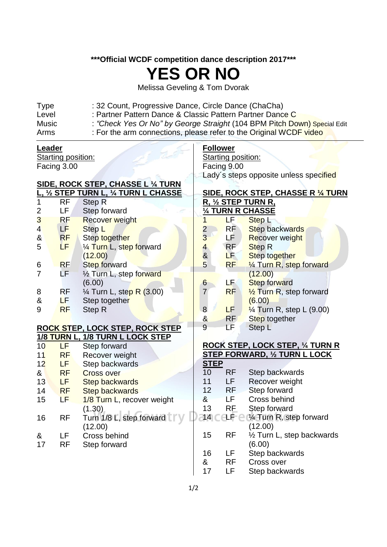## **\*\*\*Official WCDF competition dance description 2017\*\*\***

## **YES OR NO**

Melissa Geveling & Tom Dvorak

| <b>Type</b>  | : 32 Count, Progressive Dance, Circle Dance (ChaCha)                     |
|--------------|--------------------------------------------------------------------------|
| Level        | : Partner Pattern Dance & Classic Pattern Partner Dance C                |
| <b>Music</b> | : "Check Yes Or No" by George Straight (104 BPM Pitch Down) Special Edit |
| Arms         | : For the arm connections, please refer to the Original WCDF video       |
|              |                                                                          |

## **Leader**

Starting position: Facing 3.00

## **SIDE, ROCK STEP, CHASSE L ¼ TURN**

|                |           | , ½ STEP TURN L, ¼ TURN L CHASSE      |
|----------------|-----------|---------------------------------------|
| 1              | RF        | <b>Step R</b>                         |
| 2              | LF        | Step forward                          |
| 3              | <b>RF</b> | <b>Recover weight</b>                 |
| $\overline{4}$ | LF        | Step L                                |
| &              | <b>RF</b> | <b>Step together</b>                  |
| 5              | LF        | 1/4 Turn L, step forward              |
|                |           | (12.00)                               |
| 6              | <b>RF</b> | <b>Step forward</b>                   |
| 7              | LF        | 1/2 Turn L, step forward              |
|                |           | (6.00)                                |
| 8              | RF        | 1/ <sub>4</sub> Turn L, step R (3.00) |
| &              | LF        | Step together                         |
| 9              | <b>RF</b> | Step R                                |

## **ROCK STEP, LOCK STEP, ROCK STEP 1/8 TURN L, 1/8 TURN L LOCK STEP**

| 10 | LF        | Step forward                                  |
|----|-----------|-----------------------------------------------|
| 11 | <b>RF</b> | Recover weight                                |
| 12 | LF        | Step backwards                                |
| &  | <b>RF</b> | <b>Cross over</b>                             |
| 13 | LF        | <b>Step backwards</b>                         |
| 14 | <b>RF</b> | <b>Step backwards</b>                         |
| 15 | LF        | 1/8 Turn L, recover weight                    |
| 16 | RF        | (1.30)<br>Turn 1/8 L, step forward<br>(12.00) |
| &  | LF        | Cross behind                                  |
| 17 | RF        | Step forward                                  |

## **Follower**

Starting position: Facing 9.00 Lady's steps opposite unless specified

#### **SIDE, ROCK STEP, CHASSE R ¼ TURN R, ½ STEP TURN R, ¼ TURN R CHASSE**

| 74<br><b>IURN R CHASSE</b> |           |                                     |  |
|----------------------------|-----------|-------------------------------------|--|
| 1                          | LF        | Step <sub>L</sub>                   |  |
| $\overline{2}$             | <b>RF</b> | Step backwards                      |  |
| 3                          | LF        | Recover weight                      |  |
| $\overline{4}$             | RF        | <b>Step R</b>                       |  |
| $\boldsymbol{\delta}$      | LF        | Step together                       |  |
| $\overline{5}$             | <b>RF</b> | 1/4 Turn R, step forward            |  |
|                            |           | (12.00)                             |  |
| 6                          | LF.       | <b>Step forward</b>                 |  |
| $\overline{7}$             | RF        | $\frac{1}{2}$ Turn R, step forward  |  |
|                            |           | (6.00)                              |  |
| 8                          | LF        | $\frac{1}{4}$ Turn R, step L (9.00) |  |
| 8 <sub>o</sub>             | <b>RF</b> | Step together                       |  |
| 9                          | LF        | Step L                              |  |
|                            |           |                                     |  |

### **ROCK STEP, LOCK STEP, ¼ TURN R STEP FORWARD, ½ TURN L LOCK STEP**

| 10 | RF        | Step backwards                                              |
|----|-----------|-------------------------------------------------------------|
| 11 | LF        | Recover weight                                              |
| 12 | <b>RF</b> | Step forward                                                |
| &  | ΙF        | Cross behind                                                |
| 13 | RF        | Step forward                                                |
|    |           | 14 $\subset$ LF $\subset$ $\mathcal U$ Turn R, step forward |
|    |           | (12.00)                                                     |
| 15 | RF        | 1/2 Turn L, step backwards                                  |
|    |           | (6.00)                                                      |
| 16 | LF        | Step backwards                                              |
| &  | RF        | Cross over                                                  |
| 17 | ΙF        | Step backwards                                              |
|    |           |                                                             |